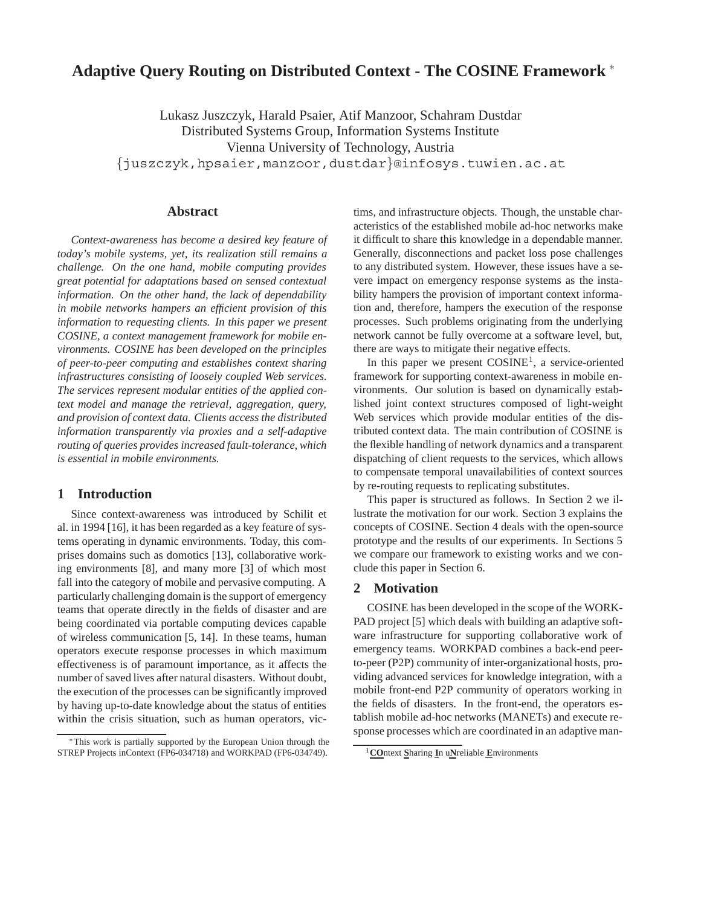# **Adaptive Query Routing on Distributed Context - The COSINE Framework** <sup>∗</sup>

Lukasz Juszczyk, Harald Psaier, Atif Manzoor, Schahram Dustdar Distributed Systems Group, Information Systems Institute Vienna University of Technology, Austria {juszczyk,hpsaier,manzoor,dustdar}@infosys.tuwien.ac.at

### **Abstract**

*Context-awareness has become a desired key feature of today's mobile systems, yet, its realization still remains a challenge. On the one hand, mobile computing provides great potential for adaptations based on sensed contextual information. On the other hand, the lack of dependability in mobile networks hampers an efficient provision of this information to requesting clients. In this paper we present COSINE, a context management framework for mobile environments. COSINE has been developed on the principles of peer-to-peer computing and establishes context sharing infrastructures consisting of loosely coupled Web services. The services represent modular entities of the applied context model and manage the retrieval, aggregation, query, and provision of context data. Clients access the distributed information transparently via proxies and a self-adaptive routing of queries provides increased fault-tolerance, which is essential in mobile environments.*

## **1 Introduction**

Since context-awareness was introduced by Schilit et al. in 1994 [16], it has been regarded as a key feature of systems operating in dynamic environments. Today, this comprises domains such as domotics [13], collaborative working environments [8], and many more [3] of which most fall into the category of mobile and pervasive computing. A particularly challenging domain is the support of emergency teams that operate directly in the fields of disaster and are being coordinated via portable computing devices capable of wireless communication [5, 14]. In these teams, human operators execute response processes in which maximum effectiveness is of paramount importance, as it affects the number of saved lives after natural disasters. Without doubt, the execution of the processes can be significantly improved by having up-to-date knowledge about the status of entities within the crisis situation, such as human operators, victims, and infrastructure objects. Though, the unstable characteristics of the established mobile ad-hoc networks make it difficult to share this knowledge in a dependable manner. Generally, disconnections and packet loss pose challenges to any distributed system. However, these issues have a severe impact on emergency response systems as the instability hampers the provision of important context information and, therefore, hampers the execution of the response processes. Such problems originating from the underlying network cannot be fully overcome at a software level, but, there are ways to mitigate their negative effects.

In this paper we present  $COSINE<sup>1</sup>$ , a service-oriented framework for supporting context-awareness in mobile environments. Our solution is based on dynamically established joint context structures composed of light-weight Web services which provide modular entities of the distributed context data. The main contribution of COSINE is the flexible handling of network dynamics and a transparent dispatching of client requests to the services, which allows to compensate temporal unavailabilities of context sources by re-routing requests to replicating substitutes.

This paper is structured as follows. In Section 2 we illustrate the motivation for our work. Section 3 explains the concepts of COSINE. Section 4 deals with the open-source prototype and the results of our experiments. In Sections 5 we compare our framework to existing works and we conclude this paper in Section 6.

#### **2 Motivation**

COSINE has been developed in the scope of the WORK-PAD project [5] which deals with building an adaptive software infrastructure for supporting collaborative work of emergency teams. WORKPAD combines a back-end peerto-peer (P2P) community of inter-organizational hosts, providing advanced services for knowledge integration, with a mobile front-end P2P community of operators working in the fields of disasters. In the front-end, the operators establish mobile ad-hoc networks (MANETs) and execute response processes which are coordinated in an adaptive man-

<sup>∗</sup>This work is partially supported by the European Union through the STREP Projects inContext (FP6-034718) and WORKPAD (FP6-034749).

<sup>1</sup>**CO**ntext **S**haring **I**n u**N**reliable **E**nvironments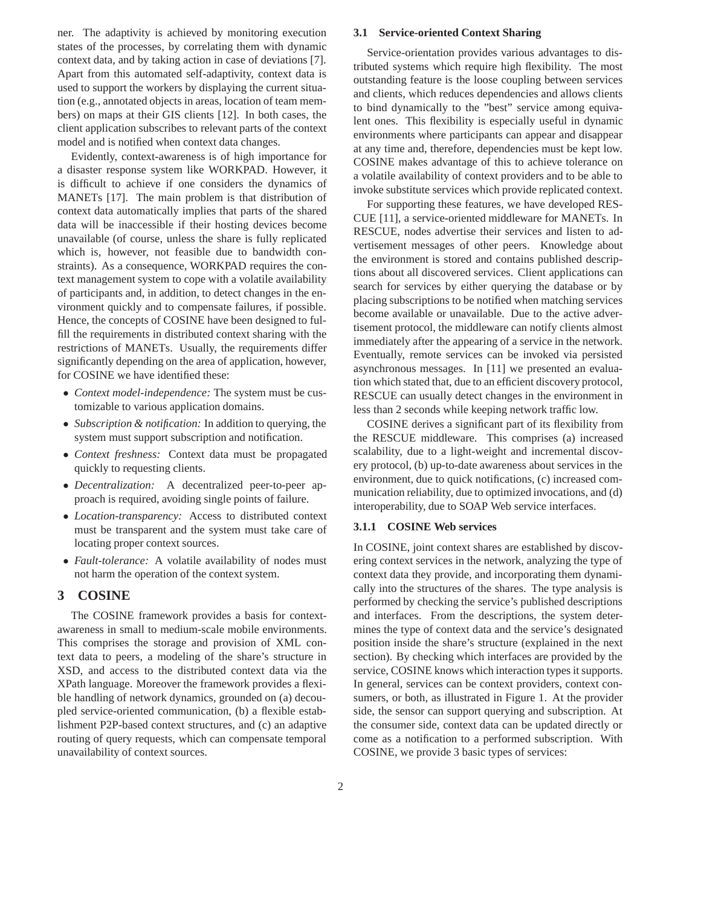ner. The adaptivity is achieved by monitoring execution states of the processes, by correlating them with dynamic context data, and by taking action in case of deviations [7]. Apart from this automated self-adaptivity, context data is used to support the workers by displaying the current situation (e.g., annotated objects in areas, location of team members) on maps at their GIS clients [12]. In both cases, the client application subscribes to relevant parts of the context model and is notified when context data changes.

Evidently, context-awareness is of high importance for a disaster response system like WORKPAD. However, it is difficult to achieve if one considers the dynamics of MANETs [17]. The main problem is that distribution of context data automatically implies that parts of the shared data will be inaccessible if their hosting devices become unavailable (of course, unless the share is fully replicated which is, however, not feasible due to bandwidth constraints). As a consequence, WORKPAD requires the context management system to cope with a volatile availability of participants and, in addition, to detect changes in the environment quickly and to compensate failures, if possible. Hence, the concepts of COSINE have been designed to fulfill the requirements in distributed context sharing with the restrictions of MANETs. Usually, the requirements differ significantly depending on the area of application, however, for COSINE we have identified these:

- *Context model-independence:* The system must be customizable to various application domains.
- *Subscription & notification:* In addition to querying, the system must support subscription and notification.
- *Context freshness:* Context data must be propagated quickly to requesting clients.
- *Decentralization:* A decentralized peer-to-peer approach is required, avoiding single points of failure.
- *Location-transparency:* Access to distributed context must be transparent and the system must take care of locating proper context sources.
- *Fault-tolerance:* A volatile availability of nodes must not harm the operation of the context system.

## **3 COSINE**

The COSINE framework provides a basis for contextawareness in small to medium-scale mobile environments. This comprises the storage and provision of XML context data to peers, a modeling of the share's structure in XSD, and access to the distributed context data via the XPath language. Moreover the framework provides a flexible handling of network dynamics, grounded on (a) decoupled service-oriented communication, (b) a flexible establishment P2P-based context structures, and (c) an adaptive routing of query requests, which can compensate temporal unavailability of context sources.

#### **3.1 Service-oriented Context Sharing**

Service-orientation provides various advantages to distributed systems which require high flexibility. The most outstanding feature is the loose coupling between services and clients, which reduces dependencies and allows clients to bind dynamically to the "best" service among equivalent ones. This flexibility is especially useful in dynamic environments where participants can appear and disappear at any time and, therefore, dependencies must be kept low. COSINE makes advantage of this to achieve tolerance on a volatile availability of context providers and to be able to invoke substitute services which provide replicated context.

For supporting these features, we have developed RES-CUE [11], a service-oriented middleware for MANETs. In RESCUE, nodes advertise their services and listen to advertisement messages of other peers. Knowledge about the environment is stored and contains published descriptions about all discovered services. Client applications can search for services by either querying the database or by placing subscriptions to be notified when matching services become available or unavailable. Due to the active advertisement protocol, the middleware can notify clients almost immediately after the appearing of a service in the network. Eventually, remote services can be invoked via persisted asynchronous messages. In [11] we presented an evaluation which stated that, due to an efficient discovery protocol, RESCUE can usually detect changes in the environment in less than 2 seconds while keeping network traffic low.

COSINE derives a significant part of its flexibility from the RESCUE middleware. This comprises (a) increased scalability, due to a light-weight and incremental discovery protocol, (b) up-to-date awareness about services in the environment, due to quick notifications, (c) increased communication reliability, due to optimized invocations, and (d) interoperability, due to SOAP Web service interfaces.

### **3.1.1 COSINE Web services**

In COSINE, joint context shares are established by discovering context services in the network, analyzing the type of context data they provide, and incorporating them dynamically into the structures of the shares. The type analysis is performed by checking the service's published descriptions and interfaces. From the descriptions, the system determines the type of context data and the service's designated position inside the share's structure (explained in the next section). By checking which interfaces are provided by the service, COSINE knows which interaction types it supports. In general, services can be context providers, context consumers, or both, as illustrated in Figure 1. At the provider side, the sensor can support querying and subscription. At the consumer side, context data can be updated directly or come as a notification to a performed subscription. With COSINE, we provide 3 basic types of services: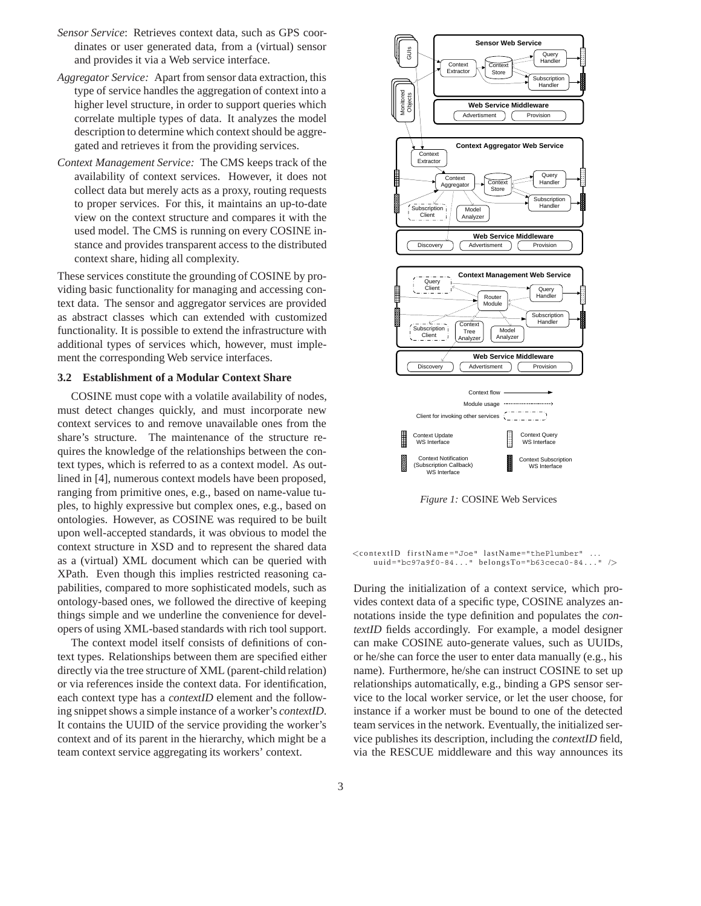- *Sensor Service*: Retrieves context data, such as GPS coordinates or user generated data, from a (virtual) sensor and provides it via a Web service interface.
- *Aggregator Service:* Apart from sensor data extraction, this type of service handles the aggregation of context into a higher level structure, in order to support queries which correlate multiple types of data. It analyzes the model description to determine which context should be aggregated and retrieves it from the providing services.
- *Context Management Service:* The CMS keeps track of the availability of context services. However, it does not collect data but merely acts as a proxy, routing requests to proper services. For this, it maintains an up-to-date view on the context structure and compares it with the used model. The CMS is running on every COSINE instance and provides transparent access to the distributed context share, hiding all complexity.

These services constitute the grounding of COSINE by providing basic functionality for managing and accessing context data. The sensor and aggregator services are provided as abstract classes which can extended with customized functionality. It is possible to extend the infrastructure with additional types of services which, however, must implement the corresponding Web service interfaces.

#### **3.2 Establishment of a Modular Context Share**

COSINE must cope with a volatile availability of nodes, must detect changes quickly, and must incorporate new context services to and remove unavailable ones from the share's structure. The maintenance of the structure requires the knowledge of the relationships between the context types, which is referred to as a context model. As outlined in [4], numerous context models have been proposed, ranging from primitive ones, e.g., based on name-value tuples, to highly expressive but complex ones, e.g., based on ontologies. However, as COSINE was required to be built upon well-accepted standards, it was obvious to model the context structure in XSD and to represent the shared data as a (virtual) XML document which can be queried with XPath. Even though this implies restricted reasoning capabilities, compared to more sophisticated models, such as ontology-based ones, we followed the directive of keeping things simple and we underline the convenience for developers of using XML-based standards with rich tool support.

The context model itself consists of definitions of context types. Relationships between them are specified either directly via the tree structure of XML (parent-child relation) or via references inside the context data. For identification, each context type has a *contextID* element and the following snippet shows a simple instance of a worker's *contextID*. It contains the UUID of the service providing the worker's context and of its parent in the hierarchy, which might be a team context service aggregating its workers' context.



*Figure 1:* COSINE Web Services

*<*contextID firstName="Joe" lastName="thePlumber" ... uuid="bc97a9f0-84..." belongsTo="b63ceca0-84..." /*>*

During the initialization of a context service, which provides context data of a specific type, COSINE analyzes annotations inside the type definition and populates the *contextID* fields accordingly. For example, a model designer can make COSINE auto-generate values, such as UUIDs, or he/she can force the user to enter data manually (e.g., his name). Furthermore, he/she can instruct COSINE to set up relationships automatically, e.g., binding a GPS sensor service to the local worker service, or let the user choose, for instance if a worker must be bound to one of the detected team services in the network. Eventually, the initialized service publishes its description, including the *contextID* field, via the RESCUE middleware and this way announces its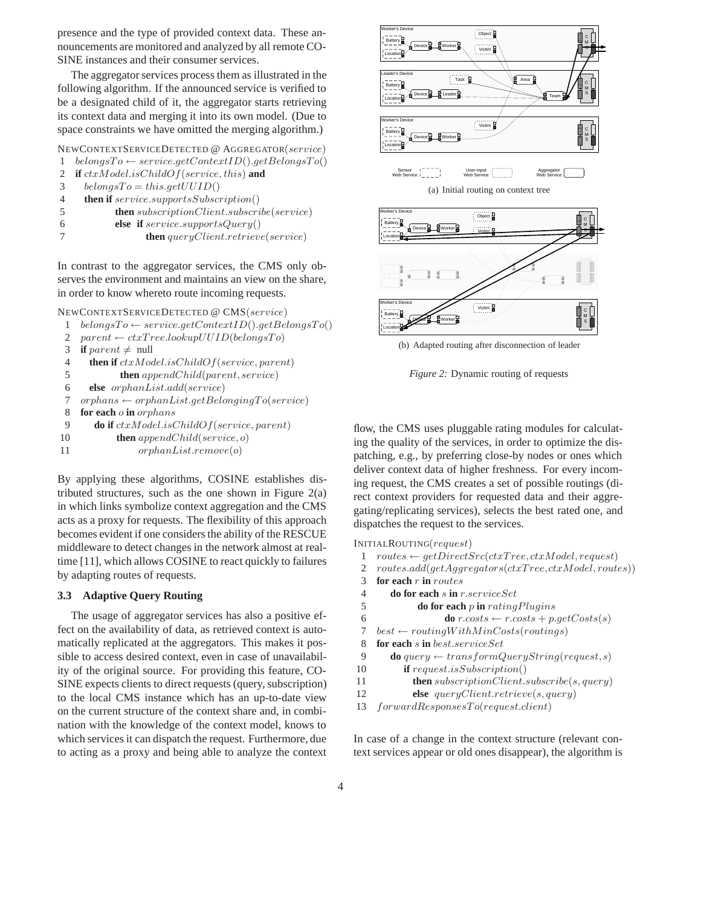presence and the type of provided context data. These announcements are monitored and analyzed by all remote CO-SINE instances and their consumer services.

The aggregator services process them as illustrated in the following algorithm. If the announced service is verified to be a designated child of it, the aggregator starts retrieving its context data and merging it into its own model. (Due to space constraints we have omitted the merging algorithm.)

NEWCONTEXTSERVICEDETECTED @ AGGREGATOR(*service*)

- 1 *belongsT o* ← *service.getContextID*()*.getBelongsT o*() 2 **if** *ctxModel.isChildOf*(*service, this*) **and**
- 3 *belongsTo* = *this.getUUID*()
- 4 **then if** *service.supportsSubscription*()
- 5 **then** *subscriptionClient.subscribe*(*service*)
- 6 **else if** *service.supportsQuery*()
- 7 **then** *queryClient.retrieve*(*service*)

In contrast to the aggregator services, the CMS only observes the environment and maintains an view on the share, in order to know whereto route incoming requests.

NEWCONTEXTSERVICEDETECTED @ CMS(*service*)

- 1 *belongsT o* ← *service.getContextID*()*.getBelongsT o*()
- 2  $parent \leftarrow ctxTree. lookupUUID(belongsTo)$ <br>3 **if**  $parent \neq null$
- 3 **if**  $parent \neq null$ <br>4 **then if**  $ctx$  Mod
- 4 **then if** *ctxModel.isChildOf*(*service, parent*)
- 5 **then** *appendChild*(*parent, service*)
- 6 **else** *orphanList.add*(*service*)

```
7 orphans ← orphanList.getBelongingTo(service)<br>8 for each o in orphans
```
- 8 **for each** *o* **in** *orphans*
- 9 **do if** *ctxModel.isChildOf*(*service, parent*)
- 10 **then** *appendChild*(*service, o*)
- 11 *orphanList.remove*(*o*)

By applying these algorithms, COSINE establishes distributed structures, such as the one shown in Figure  $2(a)$ in which links symbolize context aggregation and the CMS acts as a proxy for requests. The flexibility of this approach becomes evident if one considers the ability of the RESCUE middleware to detect changes in the network almost at realtime [11], which allows COSINE to react quickly to failures by adapting routes of requests.

#### **3.3 Adaptive Query Routing**

The usage of aggregator services has also a positive effect on the availability of data, as retrieved context is automatically replicated at the aggregators. This makes it possible to access desired context, even in case of unavailability of the original source. For providing this feature, CO-SINE expects clients to direct requests (query, subscription) to the local CMS instance which has an up-to-date view on the current structure of the context share and, in combination with the knowledge of the context model, knows to which services it can dispatch the request. Furthermore, due to acting as a proxy and being able to analyze the context



(b) Adapted routing after disconnection of leader



flow, the CMS uses pluggable rating modules for calculating the quality of the services, in order to optimize the dispatching, e.g., by preferring close-by nodes or ones which deliver context data of higher freshness. For every incoming request, the CMS creates a set of possible routings (direct context providers for requested data and their aggregating/replicating services), selects the best rated one, and dispatches the request to the services.

INITIALROUTING(*request*)

 *routes*  $\leftarrow$   $getDirectSrc(ctxTree, ctxModel, request)$ <br>2 *routes.add(aetAaareaators(ctxTree, ctxModel, rout routes.add*(*getAggregators*(*ctxT ree,ctxModel, routes*)) **for each** *r* **in** *routes* **do for each** *s* **in** *r.serviceSet* **do for each** *p* **in**  $ratingPlugins$ **do**  $r \cdot \text{costs} \leftarrow r \cdot \text{costs} + p \cdot \text{getCosts}(s)$ <br>7  $\text{best} \leftarrow \text{routineWithMinCosts}(\text{routines})$  $best \leftarrow routingWithMinCost(s(routines)$ <br>8 **for each** *s* **in** best.serviceSet **for each** *s* **in** *best.serviceSet* **do** *query* ← *transformQueryString*(*request,s*) **if** *request.isSubscription*() **then** *subscriptionClient.subscribe*(*s, query*) **else** *queryClient.retrieve*(*s, query*) *forwardResponsesT o*(*request.client*)

In case of a change in the context structure (relevant context services appear or old ones disappear), the algorithm is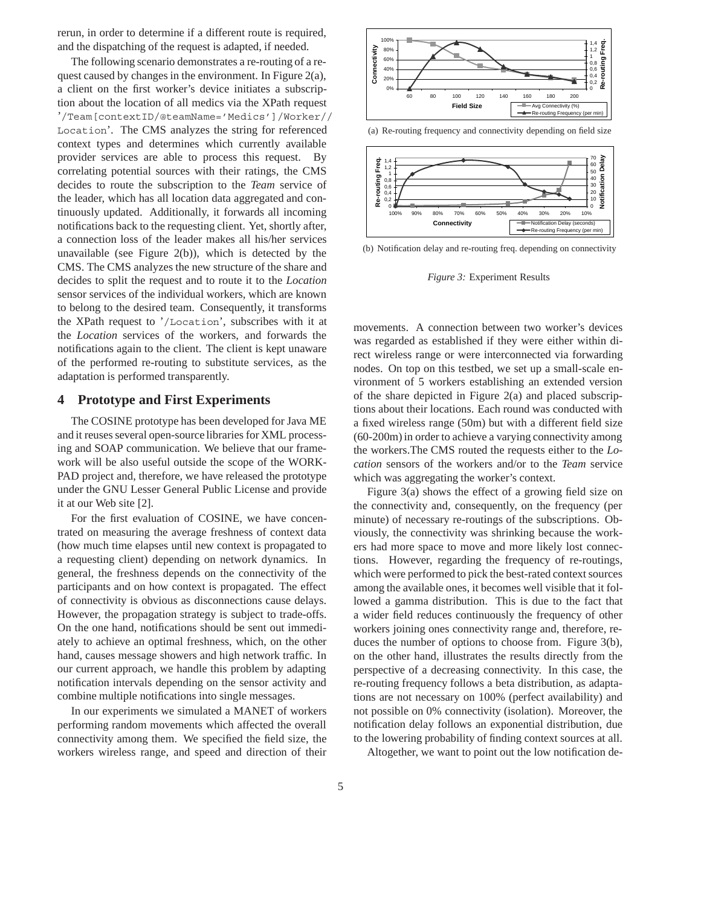rerun, in order to determine if a different route is required, and the dispatching of the request is adapted, if needed.

The following scenario demonstrates a re-routing of a request caused by changes in the environment. In Figure 2(a), a client on the first worker's device initiates a subscription about the location of all medics via the XPath request '/Team[contextID/@teamName='Medics']/Worker// Location'. The CMS analyzes the string for referenced context types and determines which currently available provider services are able to process this request. By correlating potential sources with their ratings, the CMS decides to route the subscription to the *Team* service of the leader, which has all location data aggregated and continuously updated. Additionally, it forwards all incoming notifications back to the requesting client. Yet, shortly after, a connection loss of the leader makes all his/her services unavailable (see Figure 2(b)), which is detected by the CMS. The CMS analyzes the new structure of the share and decides to split the request and to route it to the *Location* sensor services of the individual workers, which are known to belong to the desired team. Consequently, it transforms the XPath request to '/Location', subscribes with it at the *Location* services of the workers, and forwards the notifications again to the client. The client is kept unaware of the performed re-routing to substitute services, as the adaptation is performed transparently.

## **4 Prototype and First Experiments**

The COSINE prototype has been developed for Java ME and it reuses several open-source libraries for XML processing and SOAP communication. We believe that our framework will be also useful outside the scope of the WORK-PAD project and, therefore, we have released the prototype under the GNU Lesser General Public License and provide it at our Web site [2].

For the first evaluation of COSINE, we have concentrated on measuring the average freshness of context data (how much time elapses until new context is propagated to a requesting client) depending on network dynamics. In general, the freshness depends on the connectivity of the participants and on how context is propagated. The effect of connectivity is obvious as disconnections cause delays. However, the propagation strategy is subject to trade-offs. On the one hand, notifications should be sent out immediately to achieve an optimal freshness, which, on the other hand, causes message showers and high network traffic. In our current approach, we handle this problem by adapting notification intervals depending on the sensor activity and combine multiple notifications into single messages.

In our experiments we simulated a MANET of workers performing random movements which affected the overall connectivity among them. We specified the field size, the workers wireless range, and speed and direction of their



(a) Re-routing frequency and connectivity depending on field size



(b) Notification delay and re-routing freq. depending on connectivity

*Figure 3:* Experiment Results

movements. A connection between two worker's devices was regarded as established if they were either within direct wireless range or were interconnected via forwarding nodes. On top on this testbed, we set up a small-scale environment of 5 workers establishing an extended version of the share depicted in Figure 2(a) and placed subscriptions about their locations. Each round was conducted with a fixed wireless range (50m) but with a different field size (60-200m) in order to achieve a varying connectivity among the workers.The CMS routed the requests either to the *Location* sensors of the workers and/or to the *Team* service which was aggregating the worker's context.

Figure 3(a) shows the effect of a growing field size on the connectivity and, consequently, on the frequency (per minute) of necessary re-routings of the subscriptions. Obviously, the connectivity was shrinking because the workers had more space to move and more likely lost connections. However, regarding the frequency of re-routings, which were performed to pick the best-rated context sources among the available ones, it becomes well visible that it followed a gamma distribution. This is due to the fact that a wider field reduces continuously the frequency of other workers joining ones connectivity range and, therefore, reduces the number of options to choose from. Figure 3(b), on the other hand, illustrates the results directly from the perspective of a decreasing connectivity. In this case, the re-routing frequency follows a beta distribution, as adaptations are not necessary on 100% (perfect availability) and not possible on 0% connectivity (isolation). Moreover, the notification delay follows an exponential distribution, due to the lowering probability of finding context sources at all.

Altogether, we want to point out the low notification de-